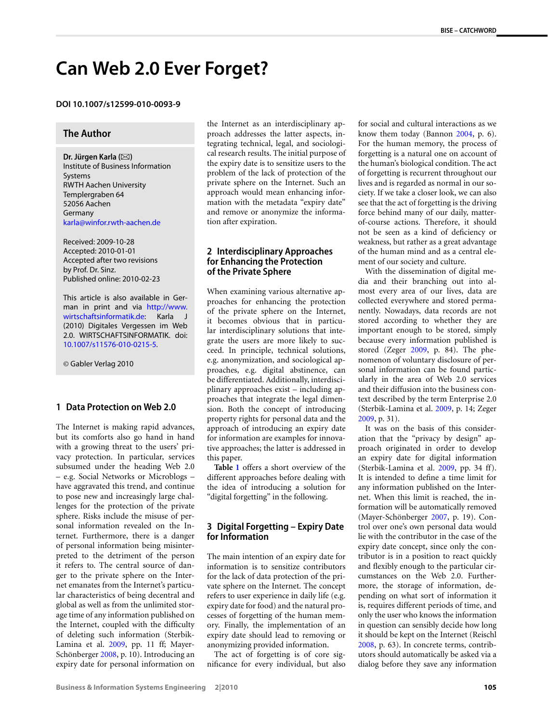# **Can Web 2.0 Ever Forget?**

#### **DOI 10.1007/s12599-010-0093-9**

## **The Author**

**Dr. Jürgen Karla (⊠)** Institute of Business Information **Systems** RWTH Aachen University Templergraben 64 52056 Aachen Germany [karla@winfor.rwth-aachen.de](mailto:karla@winfor.rwth-aachen.de)

Received: 2009-10-28 Accepted: 2010-01-01 Accepted after two revisions by Prof. Dr. Sinz. Published online: 2010-02-23

This article is also available in German in print and via [http://www.](http://www.wirtschaftsinformatik.de) [wirtschaftsinformatik.de:](http://www.wirtschaftsinformatik.de) Karla J (2010) Digitales Vergessen im Web 2.0. WIRTSCHAFTSINFORMATIK. doi: [10.1007/s11576-010-0215-5.](http://dx.doi.org/10.1007/s11576-010-0215-5)

© Gabler Verlag 2010

#### **1 Data Protection on Web 2.0**

The Internet is making rapid advances, but its comforts also go hand in hand with a growing threat to the users' privacy protection. In particular, services subsumed under the heading Web 2.0 – e.g. Social Networks or Microblogs – have aggravated this trend, and continue to pose new and increasingly large challenges for the protection of the private sphere. Risks include the misuse of personal information revealed on the Internet. Furthermore, there is a danger of personal information being misinterpreted to the detriment of the person it refers to. The central source of danger to the private sphere on the Internet emanates from the Internet's particular characteristics of being decentral and global as well as from the unlimited storage time of any information published on the Internet, coupled with the difficulty of deleting such information (Sterbik-Lamina et al. [2009](#page-2-0), pp. 11 ff; Mayer-Schönberger [2008,](#page-2-0) p. 10). Introducing an expiry date for personal information on the Internet as an interdisciplinary approach addresses the latter aspects, integrating technical, legal, and sociological research results. The initial purpose of the expiry date is to sensitize users to the problem of the lack of protection of the private sphere on the Internet. Such an approach would mean enhancing information with the metadata "expiry date" and remove or anonymize the information after expiration.

## **2 Interdisciplinary Approaches for Enhancing the Protection of the Private Sphere**

When examining various alternative approaches for enhancing the protection of the private sphere on the Internet, it becomes obvious that in particular interdisciplinary solutions that integrate the users are more likely to succeed. In principle, technical solutions, e.g. anonymization, and sociological approaches, e.g. digital abstinence, can be differentiated. Additionally, interdisciplinary approaches exist – including approaches that integrate the legal dimension. Both the concept of introducing property rights for personal data and the approach of introducing an expiry date for information are examples for innovative approaches; the latter is addressed in this paper.

**Table [1](#page-1-0)** offers a short overview of the different approaches before dealing with the idea of introducing a solution for "digital forgetting" in the following.

## **3 Digital Forgetting – Expiry Date for Information**

The main intention of an expiry date for information is to sensitize contributors for the lack of data protection of the private sphere on the Internet. The concept refers to user experience in daily life (e.g. expiry date for food) and the natural processes of forgetting of the human memory. Finally, the implementation of an expiry date should lead to removing or anonymizing provided information.

The act of forgetting is of core significance for every individual, but also

for social and cultural interactions as we know them today (Bannon [2004](#page-2-0), p. 6). For the human memory, the process of forgetting is a natural one on account of the human's biological condition. The act of forgetting is recurrent throughout our lives and is regarded as normal in our society. If we take a closer look, we can also see that the act of forgetting is the driving force behind many of our daily, matterof-course actions. Therefore, it should not be seen as a kind of deficiency or weakness, but rather as a great advantage of the human mind and as a central element of our society and culture.

With the dissemination of digital media and their branching out into almost every area of our lives, data are collected everywhere and stored permanently. Nowadays, data records are not stored according to whether they are important enough to be stored, simply because every information published is stored (Zeger [2009](#page-2-0), p. 84). The phenomenon of voluntary disclosure of personal information can be found particularly in the area of Web 2.0 services and their diffusion into the business context described by the term Enterprise 2.0 (Sterbik-Lamina et al. [2009,](#page-2-0) p. 14; Zeger [2009](#page-2-0), p. 31).

It was on the basis of this consideration that the "privacy by design" approach originated in order to develop an expiry date for digital information (Sterbik-Lamina et al. [2009](#page-2-0), pp. 34 ff). It is intended to define a time limit for any information published on the Internet. When this limit is reached, the information will be automatically removed (Mayer-Schönberger [2007,](#page-2-0) p. 19). Control over one's own personal data would lie with the contributor in the case of the expiry date concept, since only the contributor is in a position to react quickly and flexibly enough to the particular circumstances on the Web 2.0. Furthermore, the storage of information, depending on what sort of information it is, requires different periods of time, and only the user who knows the information in question can sensibly decide how long it should be kept on the Internet (Reischl [2008](#page-2-0), p. 63). In concrete terms, contributors should automatically be asked via a dialog before they save any information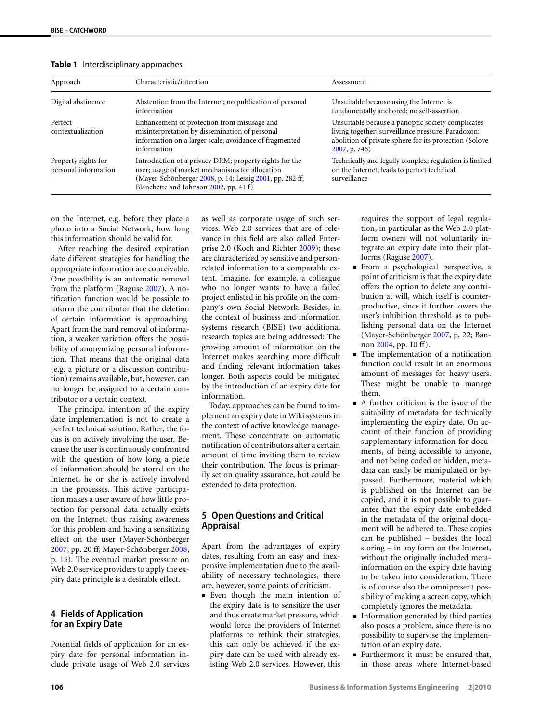| Approach                                    | Characteristic/intention                                                                                                                                                                                        | Assessment                                                                                                                                                                            |
|---------------------------------------------|-----------------------------------------------------------------------------------------------------------------------------------------------------------------------------------------------------------------|---------------------------------------------------------------------------------------------------------------------------------------------------------------------------------------|
| Digital abstinence                          | Abstention from the Internet; no publication of personal<br>information                                                                                                                                         | Unsuitable because using the Internet is<br>fundamentally anchored; no self-assertion                                                                                                 |
| Perfect<br>contextualization                | Enhancement of protection from misusage and<br>misinterpretation by dissemination of personal<br>information on a larger scale; avoidance of fragmented<br>information                                          | Unsuitable because a panoptic society complicates<br>living together; surveillance pressure; Paradoxon:<br>abolition of private sphere for its protection (Solove<br>$2007$ , p. 746) |
| Property rights for<br>personal information | Introduction of a privacy DRM; property rights for the<br>user; usage of market mechanisms for allocation<br>(Mayer-Schönberger 2008, p. 14; Lessig 2001, pp. 282 ff;<br>Blanchette and Johnson 2002, pp. 41 f) | Technically and legally complex; regulation is limited<br>on the Internet; leads to perfect technical<br>surveillance                                                                 |

<span id="page-1-0"></span>**Table 1** Interdisciplinary approaches

on the Internet, e.g. before they place a photo into a Social Network, how long this information should be valid for.

After reaching the desired expiration date different strategies for handling the appropriate information are conceivable. One possibility is an automatic removal from the platform (Raguse [2007\)](#page-2-0). A notification function would be possible to inform the contributor that the deletion of certain information is approaching. Apart from the hard removal of information, a weaker variation offers the possibility of anonymizing personal information. That means that the original data (e.g. a picture or a discussion contribution) remains available, but, however, can no longer be assigned to a certain contributor or a certain context.

The principal intention of the expiry date implementation is not to create a perfect technical solution. Rather, the focus is on actively involving the user. Because the user is continuously confronted with the question of how long a piece of information should be stored on the Internet, he or she is actively involved in the processes. This active participation makes a user aware of how little protection for personal data actually exists on the Internet, thus raising awareness for this problem and having a sensitizing effect on the user (Mayer-Schönberger [2007](#page-2-0), pp. 20 ff; Mayer-Schönberger [2008,](#page-2-0) p. 15). The eventual market pressure on Web 2.0 service providers to apply the expiry date principle is a desirable effect.

## **4 Fields of Application for an Expiry Date**

Potential fields of application for an expiry date for personal information include private usage of Web 2.0 services as well as corporate usage of such services. Web 2.0 services that are of relevance in this field are also called Enterprise 2.0 (Koch and Richter [2009](#page-2-0)); these are characterized by sensitive and personrelated information to a comparable extent. Imagine, for example, a colleague who no longer wants to have a failed project enlisted in his profile on the company´s own Social Network. Besides, in the context of business and information systems research (BISE) two additional research topics are being addressed: The growing amount of information on the Internet makes searching more difficult and finding relevant information takes longer. Both aspects could be mitigated by the introduction of an expiry date for information.

Today, approaches can be found to implement an expiry date in Wiki systems in the context of active knowledge management. These concentrate on automatic notification of contributors after a certain amount of time inviting them to review their contribution. The focus is primarily set on quality assurance, but could be extended to data protection.

# **5 Open Questions and Critical Appraisal**

Apart from the advantages of expiry dates, resulting from an easy and inexpensive implementation due to the availability of necessary technologies, there are, however, some points of criticism.

- Even though the main intention of the expiry date is to sensitize the user and thus create market pressure, which would force the providers of Internet platforms to rethink their strategies, this can only be achieved if the expiry date can be used with already existing Web 2.0 services. However, this requires the support of legal regulation, in particular as the Web 2.0 platform owners will not voluntarily integrate an expiry date into their platforms (Raguse [2007](#page-2-0)).

- From a psychological perspective, a point of criticism is that the expiry date offers the option to delete any contribution at will, which itself is counterproductive, since it further lowers the user's inhibition threshold as to publishing personal data on the Internet (Mayer-Schönberger [2007](#page-2-0), p. 22; Bannon [2004,](#page-2-0) pp. 10 ff).
- The implementation of a notification function could result in an enormous amount of messages for heavy users. These might be unable to manage them.
- A further criticism is the issue of the suitability of metadata for technically implementing the expiry date. On account of their function of providing supplementary information for documents, of being accessible to anyone, and not being coded or hidden, metadata can easily be manipulated or bypassed. Furthermore, material which is published on the Internet can be copied, and it is not possible to guarantee that the expiry date embedded in the metadata of the original document will be adhered to. These copies can be published – besides the local storing – in any form on the Internet, without the originally included metainformation on the expiry date having to be taken into consideration. There is of course also the omnipresent possibility of making a screen copy, which completely ignores the metadata.
- Information generated by third parties also poses a problem, since there is no possibility to supervise the implementation of an expiry date.
- Furthermore it must be ensured that, in those areas where Internet-based